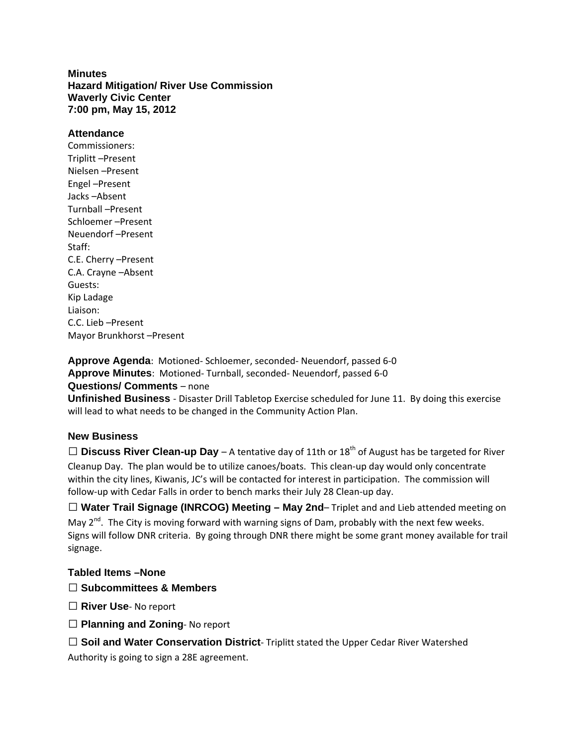## **Minutes Hazard Mitigation/ River Use Commission Waverly Civic Center 7:00 pm, May 15, 2012**

## **Attendance**

Commissioners: Triplitt –Present Nielsen –Present Engel –Present Jacks –Absent Turnball –Present Schloemer –Present Neuendorf –Present Staff: C.E. Cherry –Present C.A. Crayne –Absent Guests: Kip Ladage Liaison: C.C. Lieb –Present Mayor Brunkhorst –Present

**Approve Agenda**: Motioned‐ Schloemer, seconded‐ Neuendorf, passed 6‐0 **Approve Minutes**: Motioned‐ Turnball, seconded‐ Neuendorf, passed 6‐0 **Questions/ Comments** – none

**Unfinished Business** ‐ Disaster Drill Tabletop Exercise scheduled for June 11. By doing this exercise will lead to what needs to be changed in the Community Action Plan.

## **New Business**

 $\Box$  **Discuss River Clean-up Day** – A tentative day of 11th or 18<sup>th</sup> of August has be targeted for River Cleanup Day. The plan would be to utilize canoes/boats. This clean‐up day would only concentrate within the city lines, Kiwanis, JC's will be contacted for interest in participation. The commission will follow‐up with Cedar Falls in order to bench marks their July 28 Clean‐up day.

 **Water Trail Signage (INRCOG) Meeting – May 2nd**– Triplet and and Lieb attended meeting on May  $2^{nd}$ . The City is moving forward with warning signs of Dam, probably with the next few weeks. Signs will follow DNR criteria. By going through DNR there might be some grant money available for trail signage.

## **Tabled Items –None**

- **Subcommittees & Members**
- **River Use**‐ No report
- **Planning and Zoning**‐ No report

**Soil and Water Conservation District**‐ Triplitt stated the Upper Cedar River Watershed

Authority is going to sign a 28E agreement.